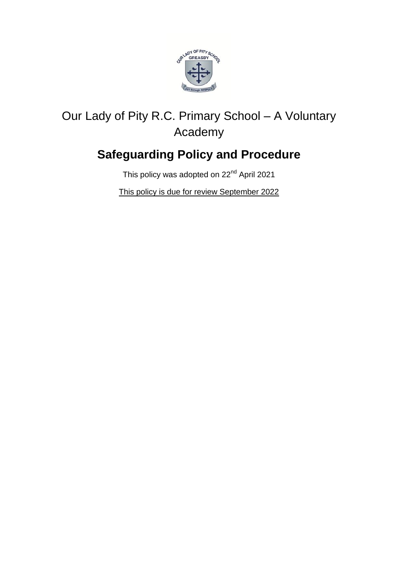

# Our Lady of Pity R.C. Primary School – A Voluntary Academy

# **Safeguarding Policy and Procedure**

This policy was adopted on 22<sup>nd</sup> April 2021

This policy is due for review September 2022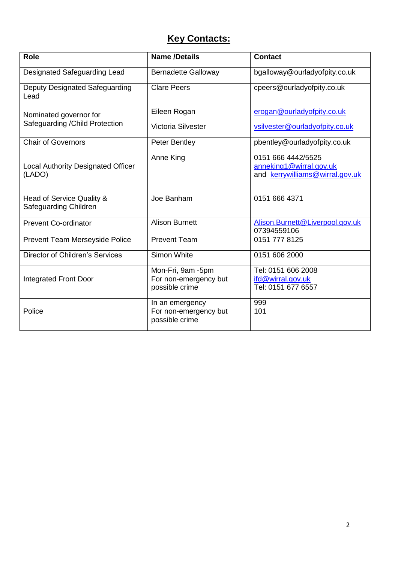# **Key Contacts:**

| <b>Role</b>                                         | <b>Name /Details</b>                                         | <b>Contact</b>                                                                   |
|-----------------------------------------------------|--------------------------------------------------------------|----------------------------------------------------------------------------------|
| Designated Safeguarding Lead                        | <b>Bernadette Galloway</b>                                   | bgalloway@ourladyofpity.co.uk                                                    |
| Deputy Designated Safeguarding<br>Lead              | <b>Clare Peers</b>                                           | cpeers@ourladyofpity.co.uk                                                       |
| Nominated governor for                              | Eileen Rogan                                                 | erogan@ourladyofpity.co.uk                                                       |
| Safeguarding / Child Protection                     | Victoria Silvester                                           | vsilvester@ourladyofpity.co.uk                                                   |
| <b>Chair of Governors</b>                           | <b>Peter Bentley</b>                                         | pbentley@ourladyofpity.co.uk                                                     |
| <b>Local Authority Designated Officer</b><br>(LADO) | Anne King                                                    | 0151 666 4442/5525<br>anneking1@wirral.gov.uk<br>and kerrywilliams@wirral.gov.uk |
| Head of Service Quality &<br>Safeguarding Children  | Joe Banham                                                   | 0151 666 4371                                                                    |
| <b>Prevent Co-ordinator</b>                         | <b>Alison Burnett</b>                                        | Alison.Burnett@Liverpool.gov.uk<br>07394559106                                   |
| Prevent Team Merseyside Police                      | <b>Prevent Team</b>                                          | 0151 777 8125                                                                    |
| <b>Director of Children's Services</b>              | Simon White                                                  | 0151 606 2000                                                                    |
| <b>Integrated Front Door</b>                        | Mon-Fri, 9am -5pm<br>For non-emergency but<br>possible crime | Tel: 0151 606 2008<br>ifd@wirral.gov.uk<br>Tel: 0151 677 6557                    |
| Police                                              | In an emergency<br>For non-emergency but<br>possible crime   | 999<br>101                                                                       |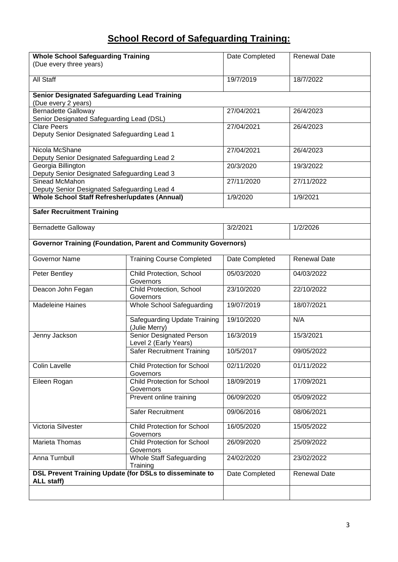# **School Record of Safeguarding Training:**

| <b>Whole School Safeguarding Training</b><br>(Due every three years)       |                                                                       | Date Completed | <b>Renewal Date</b> |
|----------------------------------------------------------------------------|-----------------------------------------------------------------------|----------------|---------------------|
| All Staff                                                                  |                                                                       | 19/7/2019      | 18/7/2022           |
| <b>Senior Designated Safeguarding Lead Training</b><br>(Due every 2 years) |                                                                       |                |                     |
| <b>Bernadette Galloway</b><br>Senior Designated Safeguarding Lead (DSL)    |                                                                       | 27/04/2021     | 26/4/2023           |
| <b>Clare Peers</b><br>Deputy Senior Designated Safeguarding Lead 1         |                                                                       | 27/04/2021     | 26/4/2023           |
| Nicola McShane                                                             |                                                                       | 27/04/2021     | 26/4/2023           |
| Deputy Senior Designated Safeguarding Lead 2                               |                                                                       |                |                     |
| Georgia Billington                                                         |                                                                       | 20/3/2020      | 19/3/2022           |
| Deputy Senior Designated Safeguarding Lead 3                               |                                                                       |                |                     |
| Sinead McMahon                                                             |                                                                       | 27/11/2020     | 27/11/2022          |
| Deputy Senior Designated Safeguarding Lead 4                               |                                                                       |                |                     |
| <b>Whole School Staff Refresher/updates (Annual)</b>                       |                                                                       | 1/9/2020       | 1/9/2021            |
| <b>Safer Recruitment Training</b>                                          |                                                                       |                |                     |
| <b>Bernadette Galloway</b>                                                 |                                                                       | 3/2/2021       | 1/2/2026            |
|                                                                            | <b>Governor Training (Foundation, Parent and Community Governors)</b> |                |                     |
| <b>Governor Name</b>                                                       | <b>Training Course Completed</b>                                      | Date Completed | <b>Renewal Date</b> |
| Peter Bentley                                                              | Child Protection, School<br>Governors                                 | 05/03/2020     | 04/03/2022          |
| Deacon John Fegan                                                          | Child Protection, School<br>Governors                                 | 23/10/2020     | 22/10/2022          |
| <b>Madeleine Haines</b>                                                    | Whole School Safeguarding                                             | 19/07/2019     | 18/07/2021          |
|                                                                            | Safeguarding Update Training<br>(Julie Merry)                         | 19/10/2020     | N/A                 |
| Jenny Jackson                                                              | <b>Senior Designated Person</b><br>Level 2 (Early Years)              | 16/3/2019      | 15/3/2021           |
|                                                                            | <b>Safer Recruitment Training</b>                                     | 10/5/2017      | 09/05/2022          |
| <b>Colin Lavelle</b>                                                       | <b>Child Protection for School</b><br>Governors                       | 02/11/2020     | 01/11/2022          |
| Eileen Rogan                                                               | <b>Child Protection for School</b><br>Governors                       | 18/09/2019     | 17/09/2021          |
|                                                                            | Prevent online training                                               | 06/09/2020     | 05/09/2022          |
|                                                                            | Safer Recruitment                                                     | 09/06/2016     | 08/06/2021          |
| Victoria Silvester                                                         | <b>Child Protection for School</b><br>Governors                       | 16/05/2020     | 15/05/2022          |
| Marieta Thomas                                                             | <b>Child Protection for School</b><br>Governors                       | 26/09/2020     | 25/09/2022          |
| Anna Turnbull                                                              | <b>Whole Staff Safeguarding</b><br>Training                           | 24/02/2020     | 23/02/2022          |
| DSL Prevent Training Update (for DSLs to disseminate to<br>ALL staff)      |                                                                       | Date Completed | <b>Renewal Date</b> |
|                                                                            |                                                                       |                |                     |
|                                                                            |                                                                       |                |                     |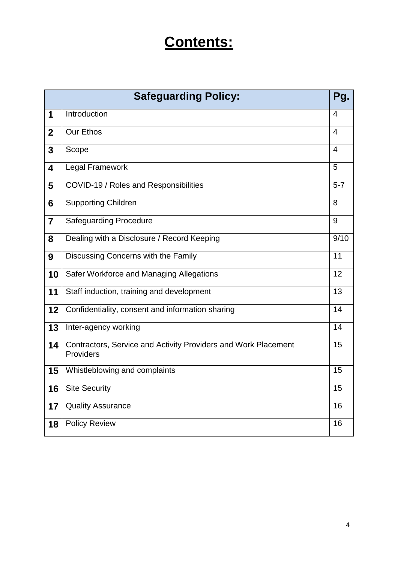# **Contents:**

| <b>Safeguarding Policy:</b><br>Pg. |                                                                             |                    |
|------------------------------------|-----------------------------------------------------------------------------|--------------------|
| 1                                  | Introduction                                                                | $\overline{4}$     |
| $\mathbf{2}$                       | <b>Our Ethos</b>                                                            | $\overline{4}$     |
| 3                                  | Scope                                                                       | 4                  |
| $\overline{\mathbf{4}}$            | <b>Legal Framework</b>                                                      | 5                  |
| 5                                  | COVID-19 / Roles and Responsibilities                                       | $\overline{5} - 7$ |
| 6                                  | <b>Supporting Children</b>                                                  | 8                  |
| $\overline{7}$                     | <b>Safeguarding Procedure</b>                                               | 9                  |
| 8                                  | Dealing with a Disclosure / Record Keeping                                  | 9/10               |
| 9                                  | Discussing Concerns with the Family                                         | $\overline{11}$    |
| 10                                 | Safer Workforce and Managing Allegations                                    | 12                 |
| 11                                 | Staff induction, training and development                                   | $\overline{13}$    |
| 12                                 | Confidentiality, consent and information sharing                            | 14                 |
| 13                                 | Inter-agency working                                                        | $\overline{14}$    |
| 14                                 | Contractors, Service and Activity Providers and Work Placement<br>Providers | 15                 |
| 15                                 | Whistleblowing and complaints                                               | 15                 |
| 16                                 | <b>Site Security</b>                                                        | 15                 |
| 17                                 | <b>Quality Assurance</b>                                                    | 16                 |
| 18                                 | <b>Policy Review</b>                                                        | 16                 |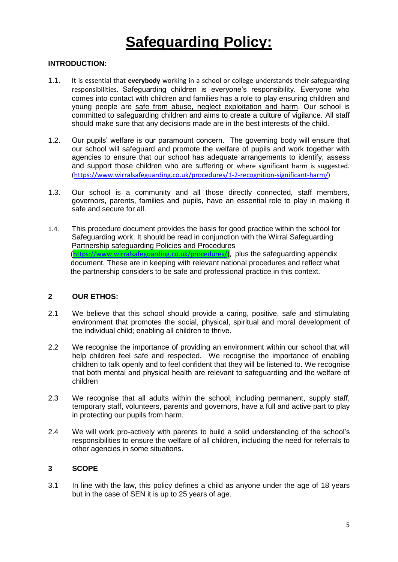# **Safeguarding Policy:**

## **INTRODUCTION:**

- 1.1. It is essential that **everybody** working in a school or college understands their safeguarding responsibilities. Safeguarding children is everyone's responsibility. Everyone who comes into contact with children and families has a role to play ensuring children and young people are safe from abuse, neglect exploitation and harm. Our school is committed to safeguarding children and aims to create a culture of vigilance. All staff should make sure that any decisions made are in the best interests of the child.
- 1.2. Our pupils' welfare is our paramount concern. The governing body will ensure that our school will safeguard and promote the welfare of pupils and work together with agencies to ensure that our school has adequate arrangements to identify, assess and support those children who are suffering or where significant harm is suggested. [\(https://www.wirralsafeguarding.co.uk/procedures/1-2-recognition-significant-harm/\)](https://www.wirralsafeguarding.co.uk/procedures/1-2-recognition-significant-harm/)
- 1.3. Our school is a community and all those directly connected, staff members, governors, parents, families and pupils, have an essential role to play in making it safe and secure for all.
- 1.4. This procedure document provides the basis for good practice within the school for Safeguarding work. It should be read in conjunction with the Wirral Safeguarding Partnership safeguarding Policies and Procedures ([https://www.wirralsafeguarding.co.uk/procedures/\)](https://www.wirralsafeguarding.co.uk/procedures/), plus the safeguarding appendix document. These are in keeping with relevant national procedures and reflect what the partnership considers to be safe and professional practice in this context.

#### **2 OUR ETHOS:**

- 2.1 We believe that this school should provide a caring, positive, safe and stimulating environment that promotes the social, physical, spiritual and moral development of the individual child; enabling all children to thrive.
- 2.2 We recognise the importance of providing an environment within our school that will help children feel safe and respected. We recognise the importance of enabling children to talk openly and to feel confident that they will be listened to. We recognise that both mental and physical health are relevant to safeguarding and the welfare of children
- 2.3 We recognise that all adults within the school, including permanent, supply staff, temporary staff, volunteers, parents and governors, have a full and active part to play in protecting our pupils from harm.
- 2.4 We will work pro-actively with parents to build a solid understanding of the school's responsibilities to ensure the welfare of all children, including the need for referrals to other agencies in some situations.

#### **3 SCOPE**

3.1 In line with the law, this policy defines a child as anyone under the age of 18 years but in the case of SEN it is up to 25 years of age.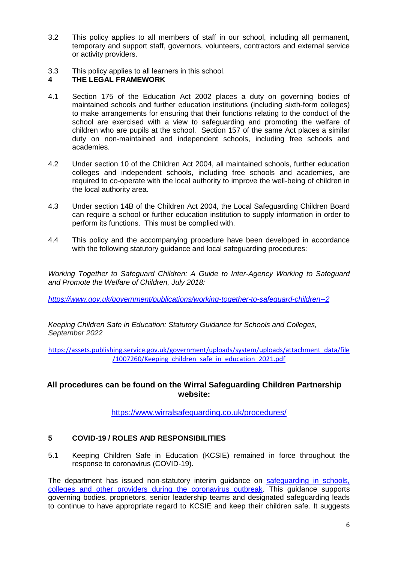- 3.2 This policy applies to all members of staff in our school, including all permanent, temporary and support staff, governors, volunteers, contractors and external service or activity providers.
- 3.3 This policy applies to all learners in this school.

## **4 THE LEGAL FRAMEWORK**

- 4.1 Section 175 of the Education Act 2002 places a duty on governing bodies of maintained schools and further education institutions (including sixth-form colleges) to make arrangements for ensuring that their functions relating to the conduct of the school are exercised with a view to safeguarding and promoting the welfare of children who are pupils at the school. Section 157 of the same Act places a similar duty on non-maintained and independent schools, including free schools and academies.
- 4.2 Under section 10 of the Children Act 2004, all maintained schools, further education colleges and independent schools, including free schools and academies, are required to co-operate with the local authority to improve the well-being of children in the local authority area.
- 4.3 Under section 14B of the Children Act 2004, the Local Safeguarding Children Board can require a school or further education institution to supply information in order to perform its functions. This must be complied with.
- 4.4 This policy and the accompanying procedure have been developed in accordance with the following statutory guidance and local safeguarding procedures:

*Working Together to Safeguard Children: A Guide to Inter-Agency Working to Safeguard and Promote the Welfare of Children, July 2018:*

*<https://www.gov.uk/government/publications/working-together-to-safeguard-children--2>*

*Keeping Children Safe in Education: Statutory Guidance for Schools and Colleges, September 2022*

[https://assets.publishing.service.gov.uk/government/uploads/system/uploads/attachment\\_data/file](https://assets.publishing.service.gov.uk/government/uploads/system/uploads/attachment_data/file/1007260/Keeping_children_safe_in_education_2021.pdf) [/1007260/Keeping\\_children\\_safe\\_in\\_education\\_2021.pdf](https://assets.publishing.service.gov.uk/government/uploads/system/uploads/attachment_data/file/1007260/Keeping_children_safe_in_education_2021.pdf)

# **All procedures can be found on the Wirral Safeguarding Children Partnership website:**

<https://www.wirralsafeguarding.co.uk/procedures/>

# **5 COVID-19 / ROLES AND RESPONSIBILITIES**

5.1 Keeping Children Safe in Education (KCSIE) remained in force throughout the response to coronavirus (COVID-19).

The department has issued non-statutory interim guidance on [safeguarding](https://www.gov.uk/government/publications/covid-19-safeguarding-in-schools-colleges-and-other-providers) in schools, [colleges and other providers during the coronavirus outbreak.](https://www.gov.uk/government/publications/covid-19-safeguarding-in-schools-colleges-and-other-providers) This guidance supports governing bodies, proprietors, senior leadership teams and designated safeguarding leads to continue to have appropriate regard to KCSIE and keep their children safe. It suggests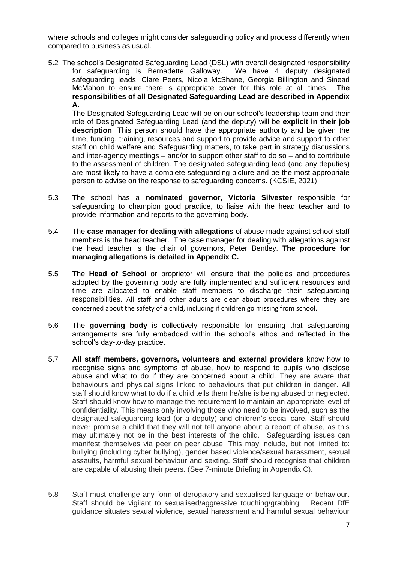where schools and colleges might consider safeguarding policy and process differently when compared to business as usual.

5.2 The school's Designated Safeguarding Lead (DSL) with overall designated responsibility for safeguarding is Bernadette Galloway. We have 4 deputy designated safeguarding leads, Clare Peers, Nicola McShane, Georgia Billington and Sinead McMahon to ensure there is appropriate cover for this role at all times. **The responsibilities of all Designated Safeguarding Lead are described in Appendix A.**

The Designated Safeguarding Lead will be on our school's leadership team and their role of Designated Safeguarding Lead (and the deputy) will be **explicit in their job description**. This person should have the appropriate authority and be given the time, funding, training, resources and support to provide advice and support to other staff on child welfare and Safeguarding matters, to take part in strategy discussions and inter-agency meetings – and/or to support other staff to do so – and to contribute to the assessment of children. The designated safeguarding lead (and any deputies) are most likely to have a complete safeguarding picture and be the most appropriate person to advise on the response to safeguarding concerns. (KCSIE, 2021).

- 5.3 The school has a **nominated governor, Victoria Silvester** responsible for safeguarding to champion good practice, to liaise with the head teacher and to provide information and reports to the governing body.
- 5.4 The **case manager for dealing with allegations** of abuse made against school staff members is the head teacher. The case manager for dealing with allegations against the head teacher is the chair of governors, Peter Bentley. **The procedure for managing allegations is detailed in Appendix C.**
- 5.5 The **Head of School** or proprietor will ensure that the policies and procedures adopted by the governing body are fully implemented and sufficient resources and time are allocated to enable staff members to discharge their safeguarding responsibilities. All staff and other adults are clear about procedures where they are concerned about the safety of a child, including if children go missing from school.
- 5.6 The **governing body** is collectively responsible for ensuring that safeguarding arrangements are fully embedded within the school's ethos and reflected in the school's day-to-day practice.
- 5.7 **All staff members, governors, volunteers and external providers** know how to recognise signs and symptoms of abuse, how to respond to pupils who disclose abuse and what to do if they are concerned about a child. They are aware that behaviours and physical signs linked to behaviours that put children in danger. All staff should know what to do if a child tells them he/she is being abused or neglected. Staff should know how to manage the requirement to maintain an appropriate level of confidentiality. This means only involving those who need to be involved, such as the designated safeguarding lead (or a deputy) and children's social care. Staff should never promise a child that they will not tell anyone about a report of abuse, as this may ultimately not be in the best interests of the child. Safeguarding issues can manifest themselves via peer on peer abuse. This may include, but not limited to: bullying (including cyber bullying), gender based violence/sexual harassment, sexual assaults, harmful sexual behaviour and sexting. Staff should recognise that children are capable of abusing their peers. (See 7-minute Briefing in Appendix C).
- 5.8 Staff must challenge any form of derogatory and sexualised language or behaviour. Staff should be vigilant to sexualised/aggressive touching/grabbing Recent DfE guidance situates sexual violence, sexual harassment and harmful sexual behaviour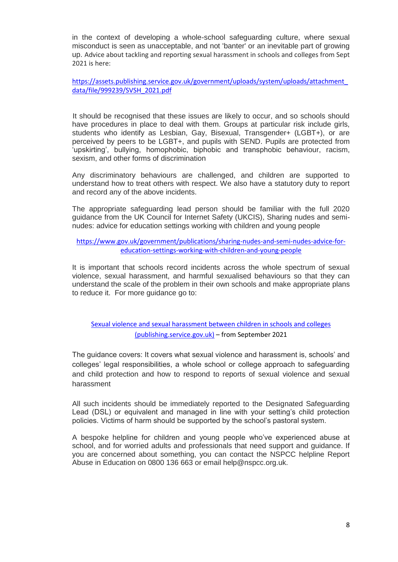in the context of developing a whole-school safeguarding culture, where sexual misconduct is seen as unacceptable, and not 'banter' or an inevitable part of growing up. Advice about tackling and reporting sexual harassment in schools and colleges from Sept 2021 is here:

[https://assets.publishing.service.gov.uk/government/uploads/system/uploads/attachment\\_](https://assets.publishing.service.gov.uk/government/uploads/system/uploads/attachment_data/file/999239/SVSH_2021.pdf) [data/file/999239/SVSH\\_2021.pdf](https://assets.publishing.service.gov.uk/government/uploads/system/uploads/attachment_data/file/999239/SVSH_2021.pdf)

 It should be recognised that these issues are likely to occur, and so schools should have procedures in place to deal with them. Groups at particular risk include girls, students who identify as Lesbian, Gay, Bisexual, Transgender+ (LGBT+), or are perceived by peers to be LGBT+, and pupils with SEND. Pupils are protected from 'upskirting', bullying, homophobic, biphobic and transphobic behaviour, racism, sexism, and other forms of discrimination

Any discriminatory behaviours are challenged, and children are supported to understand how to treat others with respect. We also have a statutory duty to report and record any of the above incidents.

The appropriate safeguarding lead person should be familiar with the full 2020 guidance from the UK Council for Internet Safety (UKCIS), Sharing nudes and seminudes: advice for education settings working with children and young people

#### [https://www.gov.uk/government/publications/sharing-nudes-and-semi-nudes-advice-for](https://www.gov.uk/government/publications/sharing-nudes-and-semi-nudes-advice-for-education-settings-working-with-children-and-young-people)[education-settings-working-with-children-and-young-people](https://www.gov.uk/government/publications/sharing-nudes-and-semi-nudes-advice-for-education-settings-working-with-children-and-young-people)

It is important that schools record incidents across the whole spectrum of sexual violence, sexual harassment, and harmful sexualised behaviours so that they can understand the scale of the problem in their own schools and make appropriate plans to reduce it. For more guidance go to:

[Sexual violence and sexual harassment between children in schools and colleges](https://assets.publishing.service.gov.uk/government/uploads/system/uploads/attachment_data/file/999239/SVSH_2021.pdf)  [\(publishing.service.gov.uk\)](https://assets.publishing.service.gov.uk/government/uploads/system/uploads/attachment_data/file/999239/SVSH_2021.pdf) – from September 2021

The guidance covers: It covers what sexual violence and harassment is, schools' and colleges' legal responsibilities, a whole school or college approach to safeguarding and child protection and how to respond to reports of sexual violence and sexual harassment

All such incidents should be immediately reported to the Designated Safeguarding Lead (DSL) or equivalent and managed in line with your setting's child protection policies. Victims of harm should be supported by the school's pastoral system.

A bespoke helpline for children and young people who've experienced abuse at school, and for worried adults and professionals that need support and guidance. If you are concerned about something, you can contact the NSPCC helpline Report Abuse in Education on 0800 136 663 or email help@nspcc.org.uk.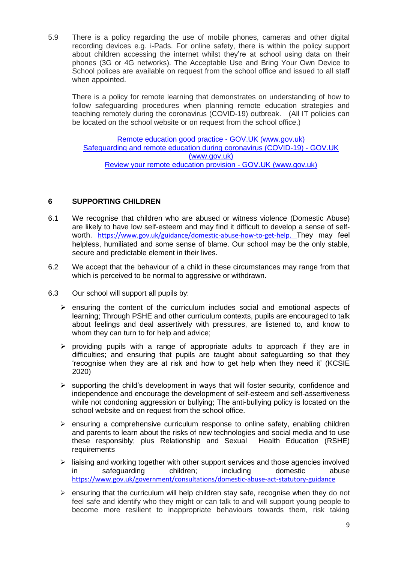5.9 There is a policy regarding the use of mobile phones, cameras and other digital recording devices e.g. i-Pads. For online safety, there is within the policy support about children accessing the internet whilst they're at school using data on their phones (3G or 4G networks). The Acceptable Use and Bring Your Own Device to School polices are available on request from the school office and issued to all staff when appointed.

There is a policy for remote learning that demonstrates on understanding of how to follow safeguarding procedures when planning remote education strategies and teaching remotely during the coronavirus (COVID-19) outbreak. (All IT policies can be located on the school website or on request from the school office.)

Remote education good practice - GOV.UK (www.gov.uk) [Safeguarding and remote education during coronavirus \(COVID-19\) -](https://www.gov.uk/guidance/safeguarding-and-remote-education-during-coronavirus-covid-19) GOV.UK [\(www.gov.uk\)](https://www.gov.uk/guidance/safeguarding-and-remote-education-during-coronavirus-covid-19) Review your remote education provision - GOV.UK (www.gov.uk)

# **6 SUPPORTING CHILDREN**

- 6.1 We recognise that children who are abused or witness violence (Domestic Abuse) are likely to have low self-esteem and may find it difficult to develop a sense of selfworth. [https://www.gov.uk/guidance/domestic-abuse-how-to-get-help.](https://www.gov.uk/guidance/domestic-abuse-how-to-get-help) They may feel helpless, humiliated and some sense of blame. Our school may be the only stable, secure and predictable element in their lives.
- 6.2 We accept that the behaviour of a child in these circumstances may range from that which is perceived to be normal to aggressive or withdrawn.
- 6.3 Our school will support all pupils by:
	- $\triangleright$  ensuring the content of the curriculum includes social and emotional aspects of learning; Through PSHE and other curriculum contexts, pupils are encouraged to talk about feelings and deal assertively with pressures, are listened to, and know to whom they can turn to for help and advice:
	- $\triangleright$  providing pupils with a range of appropriate adults to approach if they are in difficulties; and ensuring that pupils are taught about safeguarding so that they 'recognise when they are at risk and how to get help when they need it' (KCSIE 2020)
	- $\triangleright$  supporting the child's development in ways that will foster security, confidence and independence and encourage the development of self-esteem and self-assertiveness while not condoning aggression or bullying; The anti-bullying policy is located on the school website and on request from the school office.
	- $\triangleright$  ensuring a comprehensive curriculum response to online safety, enabling children and parents to learn about the risks of new technologies and social media and to use these responsibly; plus Relationship and Sexual Health Education (RSHE) requirements
	- $\triangleright$  liaising and working together with other support services and those agencies involved in safeguarding children; including domestic abuse <https://www.gov.uk/government/consultations/domestic-abuse-act-statutory-guidance>
	- $\triangleright$  ensuring that the curriculum will help children stay safe, recognise when they do not feel safe and identify who they might or can talk to and will support young people to become more resilient to inappropriate behaviours towards them, risk taking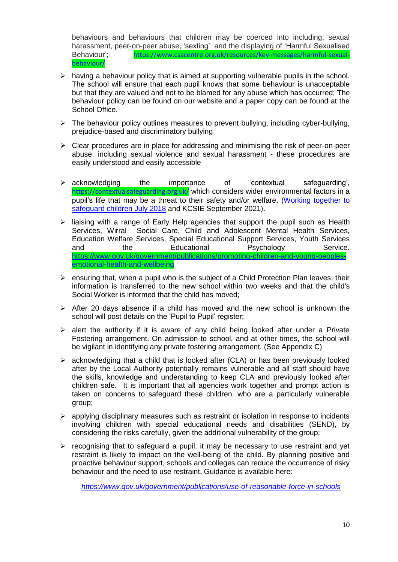behaviours and behaviours that children may be coerced into including, sexual harassment, peer-on-peer abuse, 'sexting' and the displaying of 'Harmful Sexualised Behaviour'; [https://www.csacentre.org.uk/resources/key-messages/harmful-sexual](https://www.csacentre.org.uk/resources/key-messages/harmful-sexual-behaviour/)[behaviour/](https://www.csacentre.org.uk/resources/key-messages/harmful-sexual-behaviour/)

- $\triangleright$  having a behaviour policy that is aimed at supporting vulnerable pupils in the school. The school will ensure that each pupil knows that some behaviour is unacceptable but that they are valued and not to be blamed for any abuse which has occurred; The behaviour policy can be found on our website and a paper copy can be found at the School Office.
- $\triangleright$  The behaviour policy outlines measures to prevent bullying, including cyber-bullying, prejudice-based and discriminatory bullying
- $\triangleright$  Clear procedures are in place for addressing and minimising the risk of peer-on-peer abuse, including sexual violence and sexual harassment - these procedures are easily understood and easily accessible
- acknowledging the importance of 'contextual safeguarding', <https://contextualsafeguarding.org.uk/> which considers wider environmental factors in a pupil's life that may be a threat to their safety and/or welfare. [\(Working together to](https://www.gov.uk/government/publications/working-together-to-safeguard-children--2)  [safeguard children July 2018](https://www.gov.uk/government/publications/working-together-to-safeguard-children--2) and KCSIE September 2021).
- $\triangleright$  liaising with a range of Early Help agencies that support the pupil such as Health Services, Wirral Social Care, Child and Adolescent Mental Health Services, Education Welfare Services, Special Educational Support Services, Youth Services and the Educational Psychology Service. [https://www.gov.uk/government/publications/promoting-children-and-young-peoples](https://www.gov.uk/government/publications/promoting-children-and-young-peoples-emotional-health-and-wellbeing)[emotional-health-and-wellbeing](https://www.gov.uk/government/publications/promoting-children-and-young-peoples-emotional-health-and-wellbeing)
- $\triangleright$  ensuring that, when a pupil who is the subject of a Child Protection Plan leaves, their information is transferred to the new school within two weeks and that the child's Social Worker is informed that the child has moved;
- $\triangleright$  After 20 days absence if a child has moved and the new school is unknown the school will post details on the 'Pupil to Pupil' register;
- $\triangleright$  alert the authority if it is aware of any child being looked after under a Private Fostering arrangement. On admission to school, and at other times, the school will be vigilant in identifying any private fostering arrangement. (See Appendix C)
- $\triangleright$  acknowledging that a child that is looked after (CLA) or has been previously looked after by the Local Authority potentially remains vulnerable and all staff should have the skills, knowledge and understanding to keep CLA and previously looked after children safe. It is important that all agencies work together and prompt action is taken on concerns to safeguard these children, who are a particularly vulnerable group;
- $\triangleright$  applying disciplinary measures such as restraint or isolation in response to incidents involving children with special educational needs and disabilities (SEND), by considering the risks carefully, given the additional vulnerability of the group;
- $\triangleright$  recognising that to safeguard a pupil, it may be necessary to use restraint and yet restraint is likely to impact on the well-being of the child. By planning positive and proactive behaviour support, schools and colleges can reduce the occurrence of risky behaviour and the need to use restraint. Guidance is available here:

*<https://www.gov.uk/government/publications/use-of-reasonable-force-in-schools>*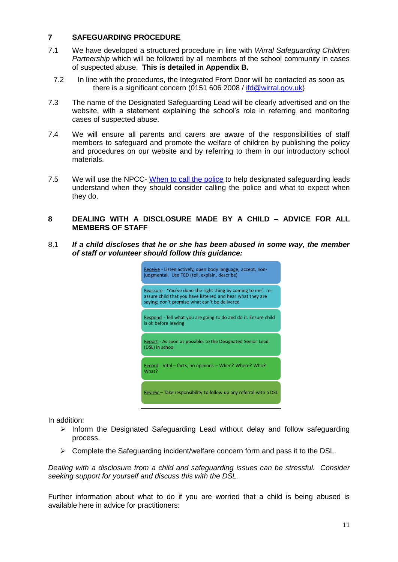### **7 SAFEGUARDING PROCEDURE**

- 7.1 We have developed a structured procedure in line with *Wirral Safeguarding Children Partnership* which will be followed by all members of the school community in cases of suspected abuse. **This is detailed in Appendix B.**
	- 7.2 In line with the procedures, the Integrated Front Door will be contacted as soon as there is a significant concern (0151 606 2008 / [ifd@wirral.gov.uk\)](mailto:ifd@wirral.gov.uk)
- 7.3 The name of the Designated Safeguarding Lead will be clearly advertised and on the website, with a statement explaining the school's role in referring and monitoring cases of suspected abuse.
- 7.4 We will ensure all parents and carers are aware of the responsibilities of staff members to safeguard and promote the welfare of children by publishing the policy and procedures on our website and by referring to them in our introductory school materials.
- 7.5 We will use the NPCC- [When to call the police](https://www.npcc.police.uk/documents/Children%20and%20Young%20people/When%20to%20call%20the%20police%20guidance%20for%20schools%20and%20colleges.pdf) to help designated safeguarding leads understand when they should consider calling the police and what to expect when they do.

## **8 DEALING WITH A DISCLOSURE MADE BY A CHILD – ADVICE FOR ALL MEMBERS OF STAFF**

8.1 *If a child discloses that he or she has been abused in some way, the member of staff or volunteer should follow this guidance:*



In addition:

- $\triangleright$  Inform the Designated Safeguarding Lead without delay and follow safeguarding process.
- $\triangleright$  Complete the Safeguarding incident/welfare concern form and pass it to the DSL.

*Dealing with a disclosure from a child and safeguarding issues can be stressful. Consider seeking support for yourself and discuss this with the DSL.*

Further information about what to do if you are worried that a child is being abused is available here in advice for practitioners: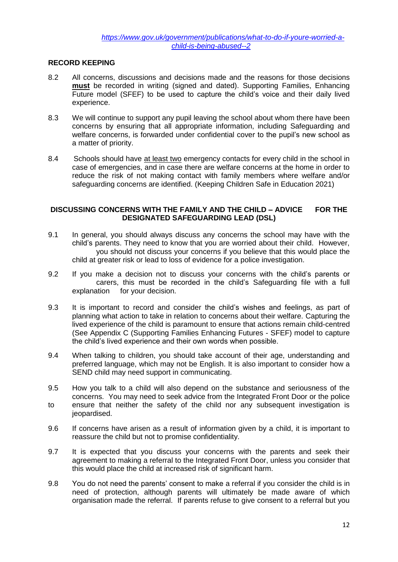## **RECORD KEEPING**

- 8.2 All concerns, discussions and decisions made and the reasons for those decisions **must** be recorded in writing (signed and dated). Supporting Families, Enhancing Future model (SFEF) to be used to capture the child's voice and their daily lived experience.
- 8.3 We will continue to support any pupil leaving the school about whom there have been concerns by ensuring that all appropriate information, including Safeguarding and welfare concerns, is forwarded under confidential cover to the pupil's new school as a matter of priority.
- 8.4 Schools should have at least two emergency contacts for every child in the school in case of emergencies, and in case there are welfare concerns at the home in order to reduce the risk of not making contact with family members where welfare and/or safeguarding concerns are identified. (Keeping Children Safe in Education 2021)

#### **DISCUSSING CONCERNS WITH THE FAMILY AND THE CHILD – ADVICE FOR THE DESIGNATED SAFEGUARDING LEAD (DSL)**

- 9.1 In general, you should always discuss any concerns the school may have with the child's parents. They need to know that you are worried about their child. However, you should not discuss your concerns if you believe that this would place the child at greater risk or lead to loss of evidence for a police investigation.
- 9.2 If you make a decision not to discuss your concerns with the child's parents or carers, this must be recorded in the child's Safeguarding file with a full explanation for your decision.
- 9.3 It is important to record and consider the child's wishes and feelings, as part of planning what action to take in relation to concerns about their welfare. Capturing the lived experience of the child is paramount to ensure that actions remain child-centred (See Appendix C (Supporting Families Enhancing Futures - SFEF) model to capture the child's lived experience and their own words when possible.
- 9.4 When talking to children, you should take account of their age, understanding and preferred language, which may not be English. It is also important to consider how a SEND child may need support in communicating.
- 9.5 How you talk to a child will also depend on the substance and seriousness of the concerns. You may need to seek advice from the Integrated Front Door or the police to ensure that neither the safety of the child nor any subsequent investigation is jeopardised.
- 9.6 If concerns have arisen as a result of information given by a child, it is important to reassure the child but not to promise confidentiality.
- 9.7 It is expected that you discuss your concerns with the parents and seek their agreement to making a referral to the Integrated Front Door, unless you consider that this would place the child at increased risk of significant harm.
- 9.8 You do not need the parents' consent to make a referral if you consider the child is in need of protection, although parents will ultimately be made aware of which organisation made the referral. If parents refuse to give consent to a referral but you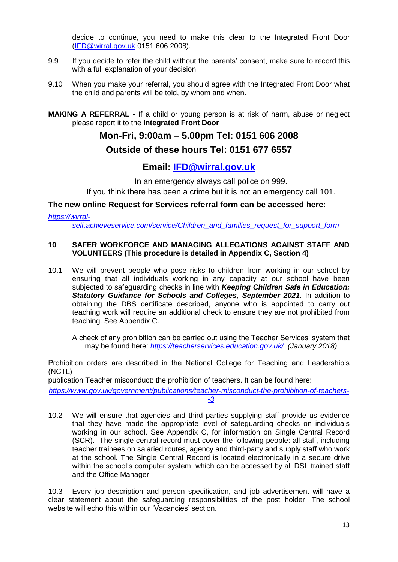decide to continue, you need to make this clear to the Integrated Front Door [\(IFD@wirral.gov.uk](mailto:IFD@wirral.gov.uk) 0151 606 2008).

- 9.9 If you decide to refer the child without the parents' consent, make sure to record this with a full explanation of your decision.
- 9.10 When you make your referral, you should agree with the Integrated Front Door what the child and parents will be told, by whom and when.
- **MAKING A REFERRAL -** If a child or young person is at risk of harm, abuse or neglect please report it to the **Integrated Front Door**

# **Mon-Fri, 9:00am – 5.00pm Tel: 0151 606 2008 Outside of these hours Tel: 0151 677 6557**

# **Email: [IFD@wirral.gov.uk](mailto:IFD@wirral.gov.uk)**

In an emergency always call police on 999.

If you think there has been a crime but it is not an emergency call 101.

## **The new online Request for Services referral form can be accessed here:**

*[https://wirral-](https://wirral-self.achieveservice.com/service/Children_and_families_request_for_support_form)*

*[self.achieveservice.com/service/Children\\_and\\_families\\_request\\_for\\_support\\_form](https://wirral-self.achieveservice.com/service/Children_and_families_request_for_support_form)*

#### **10 SAFER WORKFORCE AND MANAGING ALLEGATIONS AGAINST STAFF AND VOLUNTEERS (This procedure is detailed in Appendix C, Section 4)**

10.1 We will prevent people who pose risks to children from working in our school by ensuring that all individuals working in any capacity at our school have been subjected to safeguarding checks in line with *Keeping Children Safe in Education: Statutory Guidance for Schools and Colleges, September 2021.* In addition to obtaining the DBS certificate described, anyone who is appointed to carry out teaching work will require an additional check to ensure they are not prohibited from teaching. See Appendix C.

A check of any prohibition can be carried out using the Teacher Services' system that may be found here: *<https://teacherservices.education.gov.uk/> (January 2018)*

Prohibition orders are described in the National College for Teaching and Leadership's (NCTL)

publication Teacher misconduct: the prohibition of teachers. It can be found here:

*[https://www.gov.uk/government/publications/teacher-misconduct-the-prohibition-of-teachers-](https://www.gov.uk/government/publications/teacher-misconduct-the-prohibition-of-teachers--3) [-3](https://www.gov.uk/government/publications/teacher-misconduct-the-prohibition-of-teachers--3)*

10.2 We will ensure that agencies and third parties supplying staff provide us evidence that they have made the appropriate level of safeguarding checks on individuals working in our school. See Appendix C, for information on Single Central Record (SCR). The single central record must cover the following people: all staff, including teacher trainees on salaried routes, agency and third-party and supply staff who work at the school. The Single Central Record is located electronically in a secure drive within the school's computer system, which can be accessed by all DSL trained staff and the Office Manager.

10.3 Every job description and person specification, and job advertisement will have a clear statement about the safeguarding responsibilities of the post holder. The school website will echo this within our 'Vacancies' section.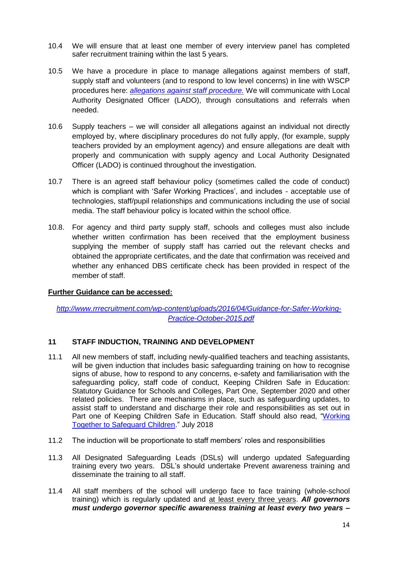- 10.4 We will ensure that at least one member of every interview panel has completed safer recruitment training within the last 5 years.
- 10.5 We have a procedure in place to manage allegations against members of staff, supply staff and volunteers (and to respond to low level concerns) in line with WSCP procedures here: *[allegations against staff procedure.](https://www.wirralsafeguarding.co.uk/wp-content/uploads/2020/12/LADO-Managing-Allegations-against-Staff-Procedure.pdf)* We will communicate with Local Authority Designated Officer (LADO), through consultations and referrals when needed.
- 10.6 Supply teachers we will consider all allegations against an individual not directly employed by, where disciplinary procedures do not fully apply, (for example, supply teachers provided by an employment agency) and ensure allegations are dealt with properly and communication with supply agency and Local Authority Designated Officer (LADO) is continued throughout the investigation.
- 10.7 There is an agreed staff behaviour policy (sometimes called the code of conduct) which is compliant with 'Safer Working Practices', and includes - acceptable use of technologies, staff/pupil relationships and communications including the use of social media. The staff behaviour policy is located within the school office.
- 10.8. For agency and third party supply staff, schools and colleges must also include whether written confirmation has been received that the employment business supplying the member of supply staff has carried out the relevant checks and obtained the appropriate certificates, and the date that confirmation was received and whether any enhanced DBS certificate check has been provided in respect of the member of staff.

# **Further Guidance can be accessed:**

*[http://www.rrrecruitment.com/wp-content/uploads/2016/04/Guidance-for-Safer-Working-](http://www.rrrecruitment.com/wp-content/uploads/2016/04/Guidance-for-Safer-Working-Practice-October-2015.pdf)[Practice-October-2015.pdf](http://www.rrrecruitment.com/wp-content/uploads/2016/04/Guidance-for-Safer-Working-Practice-October-2015.pdf)*

#### **11 STAFF INDUCTION, TRAINING AND DEVELOPMENT**

- 11.1 All new members of staff, including newly-qualified teachers and teaching assistants, will be given induction that includes basic safeguarding training on how to recognise signs of abuse, how to respond to any concerns, e-safety and familiarisation with the safeguarding policy, staff code of conduct, Keeping Children Safe in Education: Statutory Guidance for Schools and Colleges, Part One, September 2020 and other related policies. There are mechanisms in place, such as safeguarding updates, to assist staff to understand and discharge their role and responsibilities as set out in Part one of Keeping Children Safe in Education. Staff should also read, ["Working](https://www.gov.uk/government/publications/working-together-to-safeguard-children--2)  [Together to Safeguard Children.](https://www.gov.uk/government/publications/working-together-to-safeguard-children--2)" July 2018
- 11.2 The induction will be proportionate to staff members' roles and responsibilities
- 11.3 All Designated Safeguarding Leads (DSLs) will undergo updated Safeguarding training every two years. DSL's should undertake Prevent awareness training and disseminate the training to all staff.
- 11.4 All staff members of the school will undergo face to face training (whole-school training) which is regularly updated and at least every three years. *All governors must undergo governor specific awareness training at least every two years –*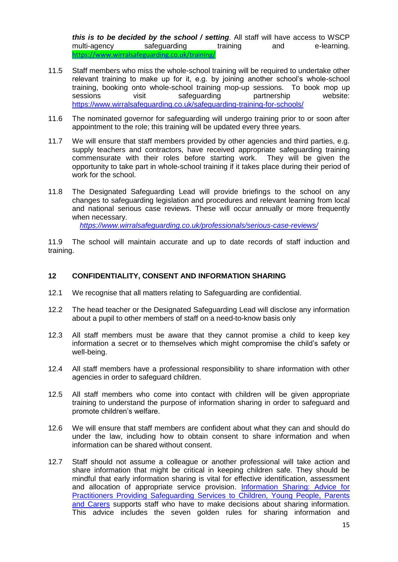*this is to be decided by the school / setting*. All staff will have access to WSCP multi-agency safeguarding training and e-learning. <https://www.wirralsafeguarding.co.uk/training/>

- 11.5 Staff members who miss the whole-school training will be required to undertake other relevant training to make up for it, e.g. by joining another school's whole-school training, booking onto whole-school training mop-up sessions. To book mop up sessions visit safeguarding partnership website: <https://www.wirralsafeguarding.co.uk/safeguarding-training-for-schools/>
- 11.6 The nominated governor for safeguarding will undergo training prior to or soon after appointment to the role; this training will be updated every three years.
- 11.7 We will ensure that staff members provided by other agencies and third parties, e.g. supply teachers and contractors, have received appropriate safeguarding training commensurate with their roles before starting work. They will be given the opportunity to take part in whole-school training if it takes place during their period of work for the school.
- 11.8 The Designated Safeguarding Lead will provide briefings to the school on any changes to safeguarding legislation and procedures and relevant learning from local and national serious case reviews. These will occur annually or more frequently when necessary.

*<https://www.wirralsafeguarding.co.uk/professionals/serious-case-reviews/>*

11.9 The school will maintain accurate and up to date records of staff induction and training.

#### **12 CONFIDENTIALITY, CONSENT AND INFORMATION SHARING**

- 12.1 We recognise that all matters relating to Safeguarding are confidential.
- 12.2 The head teacher or the Designated Safeguarding Lead will disclose any information about a pupil to other members of staff on a need-to-know basis only
- 12.3 All staff members must be aware that they cannot promise a child to keep key information a secret or to themselves which might compromise the child's safety or well-being.
- 12.4 All staff members have a professional responsibility to share information with other agencies in order to safeguard children.
- 12.5 All staff members who come into contact with children will be given appropriate training to understand the purpose of information sharing in order to safeguard and promote children's welfare.
- 12.6 We will ensure that staff members are confident about what they can and should do under the law, including how to obtain consent to share information and when information can be shared without consent.
- 12.7 Staff should not assume a colleague or another professional will take action and share information that might be critical in keeping children safe. They should be mindful that early information sharing is vital for effective identification, assessment and allocation of appropriate service provision. [Information Sharing: Advice for](https://www.gov.uk/government/publications/safeguarding-practitioners-information-sharing-advice)  [Practitioners Providing Safeguarding Services to Children, Young People, Parents](https://www.gov.uk/government/publications/safeguarding-practitioners-information-sharing-advice)  [and Carers](https://www.gov.uk/government/publications/safeguarding-practitioners-information-sharing-advice) supports staff who have to make decisions about sharing information. This advice includes the seven golden rules for sharing information and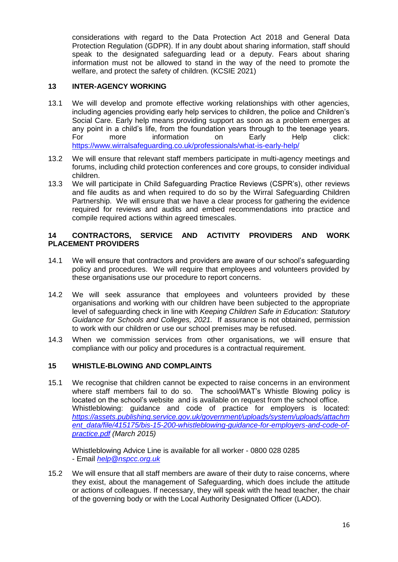considerations with regard to the Data Protection Act 2018 and General Data Protection Regulation (GDPR). If in any doubt about sharing information, staff should speak to the designated safeguarding lead or a deputy. Fears about sharing information must not be allowed to stand in the way of the need to promote the welfare, and protect the safety of children. (KCSIE 2021)

# **13 INTER-AGENCY WORKING**

- 13.1 We will develop and promote effective working relationships with other agencies, including agencies providing early help services to children, the police and Children's Social Care. Early help means providing support as soon as a problem emerges at any point in a child's life, from the foundation years through to the teenage years. For more information on Early Help click: <https://www.wirralsafeguarding.co.uk/professionals/what-is-early-help/>
- 13.2 We will ensure that relevant staff members participate in multi-agency meetings and forums, including child protection conferences and core groups, to consider individual children.
- 13.3 We will participate in Child Safeguarding Practice Reviews (CSPR's), other reviews and file audits as and when required to do so by the Wirral Safeguarding Children Partnership. We will ensure that we have a clear process for gathering the evidence required for reviews and audits and embed recommendations into practice and compile required actions within agreed timescales.

## **14 CONTRACTORS, SERVICE AND ACTIVITY PROVIDERS AND WORK PLACEMENT PROVIDERS**

- 14.1 We will ensure that contractors and providers are aware of our school's safeguarding policy and procedures. We will require that employees and volunteers provided by these organisations use our procedure to report concerns.
- 14.2 We will seek assurance that employees and volunteers provided by these organisations and working with our children have been subjected to the appropriate level of safeguarding check in line with *Keeping Children Safe in Education: Statutory Guidance for Schools and Colleges, 2021.* If assurance is not obtained, permission to work with our children or use our school premises may be refused.
- 14.3 When we commission services from other organisations, we will ensure that compliance with our policy and procedures is a contractual requirement.

#### **15 WHISTLE-BLOWING AND COMPLAINTS**

15.1 We recognise that children cannot be expected to raise concerns in an environment where staff members fail to do so. The school/MAT's Whistle Blowing policy is located on the school's website and is available on request from the school office. Whistleblowing: guidance and code of practice for employers is located: *[https://assets.publishing.service.gov.uk/government/uploads/system/uploads/attachm](https://assets.publishing.service.gov.uk/government/uploads/system/uploads/attachment_data/file/415175/bis-15-200-whistleblowing-guidance-for-employers-and-code-of-practice.pdf) [ent\\_data/file/415175/bis-15-200-whistleblowing-guidance-for-employers-and-code-of](https://assets.publishing.service.gov.uk/government/uploads/system/uploads/attachment_data/file/415175/bis-15-200-whistleblowing-guidance-for-employers-and-code-of-practice.pdf)[practice.pdf](https://assets.publishing.service.gov.uk/government/uploads/system/uploads/attachment_data/file/415175/bis-15-200-whistleblowing-guidance-for-employers-and-code-of-practice.pdf) (March 2015)*

Whistleblowing Advice Line is available for all worker - 0800 028 0285 - Email *[help@nspcc.org.uk](mailto:help@nspcc.org.uk)*

15.2 We will ensure that all staff members are aware of their duty to raise concerns, where they exist, about the management of Safeguarding, which does include the attitude or actions of colleagues. If necessary, they will speak with the head teacher, the chair of the governing body or with the Local Authority Designated Officer (LADO).